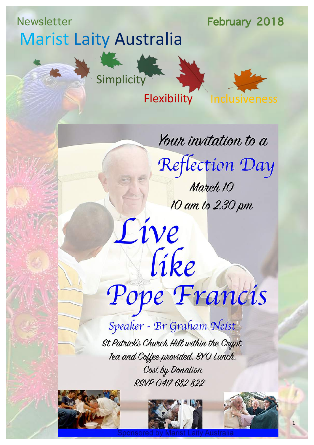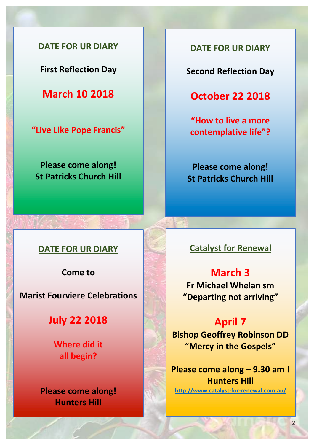

**First Reflection Day** 

**March 10 2018**

**"Live Like Pope Francis"**

**Please come along! St Patricks Church Hill** 

### **DATE FOR UR DIARY**

**Second Reflection Day**

**October 22 2018**

**"How to live a more**  contemplative life"?

**Please come along! St Patricks Church Hill** 

#### **DATE FOR UR DIARY**

**Come** to

**Marist Fourviere Celebrations** 

**July 22 2018**

**Where did it all begin?**

**Please come along! Hunters Hill**

**Catalyst for Renewal** 

## **March 3 Fr Michael Whelan sm "Departing not arriving"**

**April 7 Bishop Geoffrey Robinson DD** "Mercy in the Gospels"

**Please come along – 9.30 am ! Hunters Hill http://www.catalyst-for-renewal.com.au/**

2